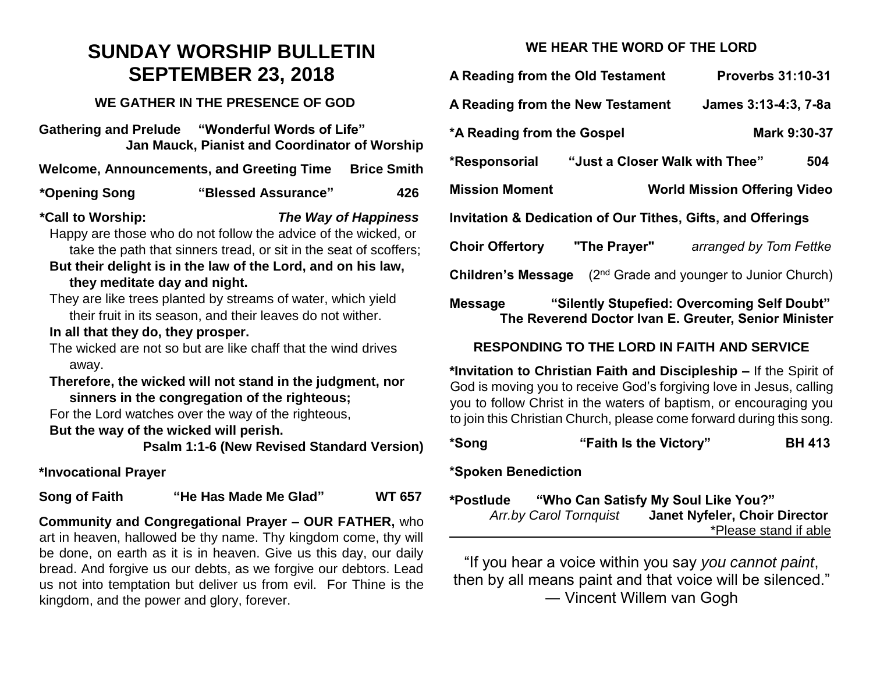# **SUNDAY WORSHIP BULLETIN SEPTEMBER 23, 2018**

#### **WE GATHER IN THE PRESENCE OF GOD**

**Gathering and Prelude "Wonderful Words of Life" Jan Mauck, Pianist and Coordinator of Worship**

Welcome, Announcements, and Greeting Time Brice Smith

#### **\*Opening Song "Blessed Assurance" 426**

**\*Call to Worship:** *The Way of Happiness*

Happy are those who do not follow the advice of the wicked, or take the path that sinners tread, or sit in the seat of scoffers;

- **But their delight is in the law of the Lord, and on his law, they meditate day and night.**
- They are like trees planted by streams of water, which yield their fruit in its season, and their leaves do not wither.

#### **In all that they do, they prosper.**

The wicked are not so but are like chaff that the wind drives away.

**Therefore, the wicked will not stand in the judgment, nor sinners in the congregation of the righteous;**

For the Lord watches over the way of the righteous,

#### **But the way of the wicked will perish.**

**Psalm 1:1-6 (New Revised Standard Version)**

### **\*Invocational Prayer**

**Song of Faith "He Has Made Me Glad" WT 657**

**Community and Congregational Prayer – OUR FATHER,** who art in heaven, hallowed be thy name. Thy kingdom come, thy will be done, on earth as it is in heaven. Give us this day, our daily bread. And forgive us our debts, as we forgive our debtors. Lead us not into temptation but deliver us from evil. For Thine is the kingdom, and the power and glory, forever.

## **WE HEAR THE WORD OF THE LORD**

| A Reading from the Old Testament                                       |  | <b>Proverbs 31:10-31</b>                                                                            |  |  |  |
|------------------------------------------------------------------------|--|-----------------------------------------------------------------------------------------------------|--|--|--|
| A Reading from the New Testament                                       |  | James 3:13-4:3, 7-8a                                                                                |  |  |  |
| *A Reading from the Gospel                                             |  | Mark 9:30-37                                                                                        |  |  |  |
| *Responsorial "Just a Closer Walk with Thee"                           |  | 504                                                                                                 |  |  |  |
| <b>Mission Moment</b>                                                  |  | <b>World Mission Offering Video</b>                                                                 |  |  |  |
| <b>Invitation &amp; Dedication of Our Tithes, Gifts, and Offerings</b> |  |                                                                                                     |  |  |  |
| Choir Offertory "The Prayer"                                           |  | arranged by Tom Fettke                                                                              |  |  |  |
|                                                                        |  | <b>Children's Message</b> $(2^{nd}$ Grade and younger to Junior Church)                             |  |  |  |
| Message                                                                |  | "Silently Stupefied: Overcoming Self Doubt"<br>The Reverend Doctor Ivan E. Greuter, Senior Minister |  |  |  |

## **RESPONDING TO THE LORD IN FAITH AND SERVICE**

**\*Invitation to Christian Faith and Discipleship –** If the Spirit of God is moving you to receive God's forgiving love in Jesus, calling you to follow Christ in the waters of baptism, or encouraging you to join this Christian Church, please come forward during this song.

|  | *Song | "Faith Is the Victory" | <b>BH 413</b> |
|--|-------|------------------------|---------------|
|--|-------|------------------------|---------------|

### **\*Spoken Benediction**

**\*Postlude "Who Can Satisfy My Soul Like You?"** *Arr.by Carol Tornquist* **Janet Nyfeler, Choir Director**  \*Please stand if able

"If you hear a voice within you say *you cannot paint*, then by all means paint and that voice will be silenced." ― Vincent Willem van Gogh